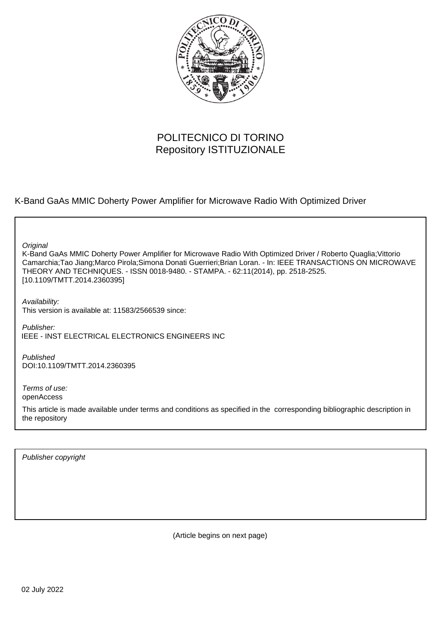

# POLITECNICO DI TORINO Repository ISTITUZIONALE

K-Band GaAs MMIC Doherty Power Amplifier for Microwave Radio With Optimized Driver

**Original** 

K-Band GaAs MMIC Doherty Power Amplifier for Microwave Radio With Optimized Driver / Roberto Quaglia;Vittorio Camarchia;Tao Jiang;Marco Pirola;Simona Donati Guerrieri;Brian Loran. - In: IEEE TRANSACTIONS ON MICROWAVE THEORY AND TECHNIQUES. - ISSN 0018-9480. - STAMPA. - 62:11(2014), pp. 2518-2525. [10.1109/TMTT.2014.2360395]

Availability: This version is available at: 11583/2566539 since:

Publisher: IEEE - INST ELECTRICAL ELECTRONICS ENGINEERS INC

Published DOI:10.1109/TMTT.2014.2360395

Terms of use: openAccess

This article is made available under terms and conditions as specified in the corresponding bibliographic description in the repository

Publisher copyright

(Article begins on next page)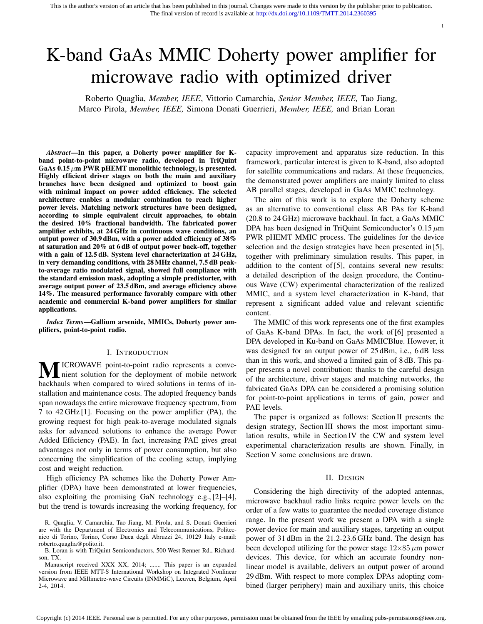# K-band GaAs MMIC Doherty power amplifier for microwave radio with optimized driver

Roberto Quaglia, *Member, IEEE*, Vittorio Camarchia, *Senior Member, IEEE,* Tao Jiang, Marco Pirola, *Member, IEEE,* Simona Donati Guerrieri, *Member, IEEE,* and Brian Loran

*Abstract*—In this paper, a Doherty power amplifier for Kband point-to-point microwave radio, developed in TriQuint GaAs 0.15  $\mu$ m PWR pHEMT monolithic technology, is presented. Highly efficient driver stages on both the main and auxiliary branches have been designed and optimized to boost gain with minimal impact on power added efficiency. The selected architecture enables a modular combination to reach higher power levels. Matching network structures have been designed, according to simple equivalent circuit approaches, to obtain the desired 10% fractional bandwidth. The fabricated power amplifier exhibits, at 24 GHz in continuous wave conditions, an output power of 30.9 dBm, with a power added efficiency of 38% at saturation and 20% at 6 dB of output power back-off, together with a gain of 12.5 dB. System level characterization at 24 GHz, in very demanding conditions, with 28 MHz channel, 7.5 dB peakto-average ratio modulated signal, showed full compliance with the standard emission mask, adopting a simple predistorter, with average output power of 23.5 dBm, and average efficiency above 14%. The measured performance favorably compare with other academic and commercial K-band power amplifiers for similar applications.

*Index Terms*—Gallium arsenide, MMICs, Doherty power amplifiers, point-to-point radio.

# I. INTRODUCTION

**MICROWAVE** point-to-point radio represents a conve-<br>hierty solution for the deployment of mobile network<br>has black when converged to wise deplotions in terms of inbackhauls when compared to wired solutions in terms of installation and maintenance costs. The adopted frequency bands span nowadays the entire microwave frequency spectrum, from 7 to 42 GHz [1]. Focusing on the power amplifier (PA), the growing request for high peak-to-average modulated signals asks for advanced solutions to enhance the average Power Added Efficiency (PAE). In fact, increasing PAE gives great advantages not only in terms of power consumption, but also concerning the simplification of the cooling setup, implying cost and weight reduction.

High efficiency PA schemes like the Doherty Power Amplifier (DPA) have been demonstrated at lower frequencies, also exploiting the promising GaN technology e.g., [2]–[4], but the trend is towards increasing the working frequency, for

R. Quaglia, V. Camarchia, Tao Jiang, M. Pirola, and S. Donati Guerrieri are with the Department of Electronics and Telecommunications, Politecnico di Torino, Torino, Corso Duca degli Abruzzi 24, 10129 Italy e-mail: roberto.quaglia@polito.it.

B. Loran is with TriQuint Semiconductors, 500 West Renner Rd., Richardson, TX.

Manuscript received XXX XX, 2014; ....... This paper is an expanded version from IEEE MTT-S International Workshop on Integrated Nonlinear Microwave and Millimetre-wave Circuits (INMMiC), Leuven, Belgium, April 2-4, 2014.

capacity improvement and apparatus size reduction. In this framework, particular interest is given to K-band, also adopted for satellite communications and radars. At these frequencies, the demonstrated power amplifiers are mainly limited to class AB parallel stages, developed in GaAs MMIC technology.

1

The aim of this work is to explore the Doherty scheme as an alternative to conventional class AB PAs for K-band (20.8 to 24 GHz) microwave backhaul. In fact, a GaAs MMIC DPA has been designed in TriQuint Semiconductor's 0.15 *µ*m PWR pHEMT MMIC process. The guidelines for the device selection and the design strategies have been presented in [5], together with preliminary simulation results. This paper, in addition to the content of [5], contains several new results: a detailed description of the design procedure, the Continuous Wave (CW) experimental characterization of the realized MMIC, and a system level characterization in K-band, that represent a significant added value and relevant scientific content.

The MMIC of this work represents one of the first examples of GaAs K-band DPAs. In fact, the work of [6] presented a DPA developed in Ku-band on GaAs MMICBlue. However, it was designed for an output power of 25 dBm, i.e., 6 dB less than in this work, and showed a limited gain of 8 dB. This paper presents a novel contribution: thanks to the careful design of the architecture, driver stages and matching networks, the fabricated GaAs DPA can be considered a promising solution for point-to-point applications in terms of gain, power and PAE levels.

The paper is organized as follows: Section II presents the design strategy, Section III shows the most important simulation results, while in Section IV the CW and system level experimental characterization results are shown. Finally, in Section V some conclusions are drawn.

### II. DESIGN

Considering the high directivity of the adopted antennas, microwave backhaul radio links require power levels on the order of a few watts to guarantee the needed coverage distance range. In the present work we present a DPA with a single power device for main and auxiliary stages, targeting an output power of 31 dBm in the 21.2-23.6 GHz band. The design has been developed utilizing for the power stage  $12\times85 \mu m$  power devices. This device, for which an accurate foundry nonlinear model is available, delivers an output power of around 29 dBm. With respect to more complex DPAs adopting combined (larger periphery) main and auxiliary units, this choice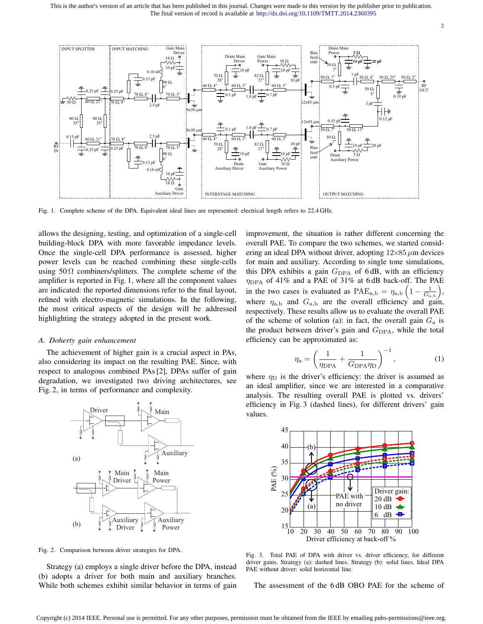

Fig. 1. Complete scheme of the DPA. Equivalent ideal lines are represented: electrical length refers to 22.4 GHz.

allows the designing, testing, and optimization of a single-cell building-block DPA with more favorable impedance levels. Once the single-cell DPA performance is assessed, higher power levels can be reached combining these single-cells using  $50 \Omega$  combiners/splitters. The complete scheme of the amplifier is reported in Fig. 1, where all the component values are indicated: the reported dimensions refer to the final layout, refined with electro-magnetic simulations. In the following, the most critical aspects of the design will be addressed highlighting the strategy adopted in the present work.

# *A. Doherty gain enhancement*

The achievement of higher gain is a crucial aspect in PAs, also considering its impact on the resulting PAE. Since, with respect to analogous combined PAs [2], DPAs suffer of gain degradation, we investigated two driving architectures, see Fig. 2, in terms of performance and complexity.



Fig. 2. Comparison between driver strategies for DPA.

Strategy (a) employs a single driver before the DPA, instead (b) adopts a driver for both main and auxiliary branches. While both schemes exhibit similar behavior in terms of gain improvement, the situation is rather different concerning the overall PAE. To compare the two schemes, we started considering an ideal DPA without driver, adopting  $12 \times 85 \mu m$  devices for main and auxiliary. According to single tone simulations, this DPA exhibits a gain  $G_{\text{DPA}}$  of 6 dB, with an efficiency  $η<sub>DPA</sub>$  of 41% and a PAE of 31% at 6dB back-off. The PAE in the two cases is evaluated as  $\text{PAE}_{a,b} = \eta_{a,b} \left( 1 - \frac{1}{G_{a,b}} \right)$ ) , where  $\eta_{a,b}$  and  $G_{a,b}$  are the overall efficiency and gain, respectively. These results allow us to evaluate the overall PAE of the scheme of solution (a): in fact, the overall gain *G*<sup>a</sup> is the product between driver's gain and  $G_{\text{DPA}}$ , while the total efficiency can be approximated as:

$$
\eta_{\rm a} = \left(\frac{1}{\eta_{\rm DPA}} + \frac{1}{G_{\rm DPA} \eta_{\rm D}}\right)^{-1},\tag{1}
$$

2

where  $\eta_D$  is the driver's efficiency: the driver is assumed as an ideal amplifier, since we are interested in a comparative analysis. The resulting overall PAE is plotted vs. drivers' efficiency in Fig. 3 (dashed lines), for different drivers' gain values.



Fig. 3. Total PAE of DPA with driver vs. driver efficiency, for different driver gains. Strategy (a): dashed lines. Strategy (b): solid lines. Ideal DPA PAE without driver: solid horizontal line.

The assessment of the 6 dB OBO PAE for the scheme of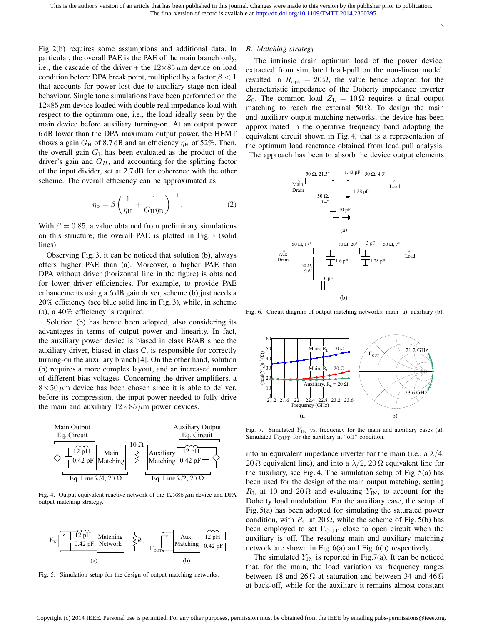3

Fig. 2(b) requires some assumptions and additional data. In particular, the overall PAE is the PAE of the main branch only, i.e., the cascade of the driver + the  $12\times85 \mu m$  device on load condition before DPA break point, multiplied by a factor *β <* 1 that accounts for power lost due to auxiliary stage non-ideal behaviour. Single tone simulations have been performed on the  $12\times85 \mu$ m device loaded with double real impedance load with respect to the optimum one, i.e., the load ideally seen by the main device before auxiliary turning-on. At an output power 6 dB lower than the DPA maximum output power, the HEMT shows a gain  $G_H$  of 8.7 dB and an efficiency  $\eta_H$  of 52%. Then, the overall gain  $G<sub>b</sub>$  has been evaluated as the product of the driver's gain and *GH*, and accounting for the splitting factor of the input divider, set at 2.7 dB for coherence with the other scheme. The overall efficiency can be approximated as:

$$
\eta_{\rm b} = \beta \left( \frac{1}{\eta_{\rm H}} + \frac{1}{G_{\rm H} \eta_{\rm D}} \right)^{-1} . \tag{2}
$$

With  $\beta = 0.85$ , a value obtained from preliminary simulations on this structure, the overall PAE is plotted in Fig. 3 (solid lines).

Observing Fig. 3, it can be noticed that solution (b), always offers higher PAE than (a). Moreover, a higher PAE than DPA without driver (horizontal line in the figure) is obtained for lower driver efficiencies. For example, to provide PAE enhancements using a 6 dB gain driver, scheme (b) just needs a 20% efficiency (see blue solid line in Fig. 3), while, in scheme (a), a 40% efficiency is required.

Solution (b) has hence been adopted, also considering its advantages in terms of output power and linearity. In fact, the auxiliary power device is biased in class B/AB since the auxiliary driver, biased in class C, is responsible for correctly turning-on the auxiliary branch [4]. On the other hand, solution (b) requires a more complex layout, and an increased number of different bias voltages. Concerning the driver amplifiers, a  $8 \times 50 \mu$ m device has been chosen since it is able to deliver, before its compression, the input power needed to fully drive the main and auxiliary  $12 \times 85 \mu$ m power devices.



Fig. 4. Output equivalent reactive network of the  $12\times85 \mu m$  device and DPA output matching strategy.



Fig. 5. Simulation setup for the design of output matching networks.

# *B. Matching strategy*

The intrinsic drain optimum load of the power device, extracted from simulated load-pull on the non-linear model, resulted in  $R_{\text{opt}} = 20 \Omega$ , the value hence adopted for the characteristic impedance of the Doherty impedance inverter *Z*<sub>0</sub>. The common load *Z*<sub>L</sub> = 10 Ω requires a final output matching to reach the external 50  $\Omega$ . To design the main and auxiliary output matching networks, the device has been approximated in the operative frequency band adopting the equivalent circuit shown in Fig. 4, that is a representation of the optimum load reactance obtained from load pull analysis. The approach has been to absorb the device output elements



Fig. 6. Circuit diagram of output matching networks: main (a), auxiliary (b).



Fig. 7. Simulated  $Y_{IN}$  vs. frequency for the main and auxiliary cases (a). Simulated  $\Gamma_{\text{OUT}}$  for the auxiliary in "off" condition.

into an equivalent impedance inverter for the main (i.e., a  $\lambda/4$ , 20  $\Omega$  equivalent line), and into a  $\lambda/2$ , 20  $\Omega$  equivalent line for the auxiliary, see Fig. 4. The simulation setup of Fig. 5(a) has been used for the design of the main output matching, setting  $R_{\rm L}$  at 10 and 20  $\Omega$  and evaluating  $Y_{\rm IN}$ , to account for the Doherty load modulation. For the auxiliary case, the setup of Fig. 5(a) has been adopted for simulating the saturated power condition, with  $R_{\rm L}$  at 20  $\Omega$ , while the scheme of Fig. 5(b) has been employed to set  $\Gamma_{\text{OUT}}$  close to open circuit when the auxiliary is off. The resulting main and auxiliary matching network are shown in Fig. 6(a) and Fig. 6(b) respectively.

The simulated  $Y_{IN}$  is reported in Fig.7(a). It can be noticed that, for the main, the load variation vs. frequency ranges between 18 and 26  $\Omega$  at saturation and between 34 and 46  $\Omega$ at back-off, while for the auxiliary it remains almost constant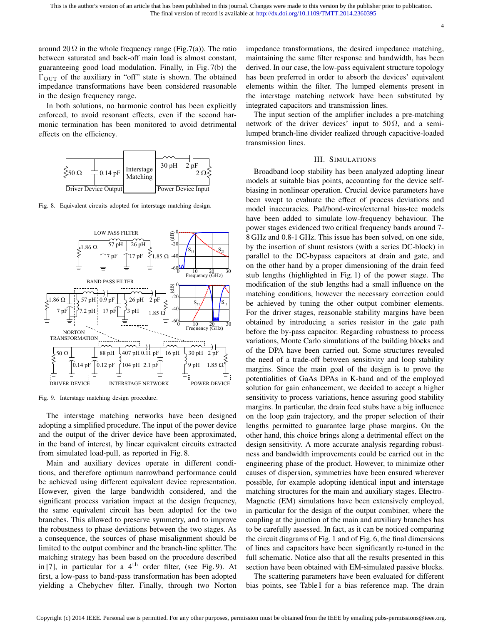4

around 20  $\Omega$  in the whole frequency range (Fig.7(a)). The ratio between saturated and back-off main load is almost constant, guaranteeing good load modulation. Finally, in Fig. 7(b) the  $\Gamma_{\text{OUT}}$  of the auxiliary in "off" state is shown. The obtained impedance transformations have been considered reasonable in the design frequency range.

In both solutions, no harmonic control has been explicitly enforced, to avoid resonant effects, even if the second harmonic termination has been monitored to avoid detrimental effects on the efficiency.



Fig. 8. Equivalent circuits adopted for interstage matching design.



Fig. 9. Interstage matching design procedure.

The interstage matching networks have been designed adopting a simplified procedure. The input of the power device and the output of the driver device have been approximated, in the band of interest, by linear equivalent circuits extracted from simulated load-pull, as reported in Fig. 8.

Main and auxiliary devices operate in different conditions, and therefore optimum narrowband performance could be achieved using different equivalent device representation. However, given the large bandwidth considered, and the significant process variation impact at the design frequency, the same equivalent circuit has been adopted for the two branches. This allowed to preserve symmetry, and to improve the robustness to phase deviations between the two stages. As a consequence, the sources of phase misalignment should be limited to the output combiner and the branch-line splitter. The matching strategy has been based on the procedure described in [7], in particular for a  $4<sup>th</sup>$  order filter, (see Fig. 9). At first, a low-pass to band-pass transformation has been adopted yielding a Chebychev filter. Finally, through two Norton impedance transformations, the desired impedance matching, maintaining the same filter response and bandwidth, has been derived. In our case, the low-pass equivalent structure topology has been preferred in order to absorb the devices' equivalent elements within the filter. The lumped elements present in the interstage matching network have been substituted by integrated capacitors and transmission lines.

The input section of the amplifier includes a pre-matching network of the driver devices' input to  $50 \Omega$ , and a semilumped branch-line divider realized through capacitive-loaded transmission lines.

# III. SIMULATIONS

Broadband loop stability has been analyzed adopting linear models at suitable bias points, accounting for the device selfbiasing in nonlinear operation. Crucial device parameters have been swept to evaluate the effect of process deviations and model inaccuracies. Pad/bond-wires/external bias-tee models have been added to simulate low-frequency behaviour. The power stages evidenced two critical frequency bands around 7- 8 GHz and 0.8-1 GHz. This issue has been solved, on one side, by the insertion of shunt resistors (with a series DC-block) in parallel to the DC-bypass capacitors at drain and gate, and on the other hand by a proper dimensioning of the drain feed stub lengths (highlighted in Fig. 1) of the power stage. The modification of the stub lengths had a small influence on the matching conditions, however the necessary correction could be achieved by tuning the other output combiner elements. For the driver stages, reasonable stability margins have been obtained by introducing a series resistor in the gate path before the by-pass capacitor. Regarding robustness to process variations, Monte Carlo simulations of the building blocks and of the DPA have been carried out. Some structures revealed the need of a trade-off between sensitivity and loop stability margins. Since the main goal of the design is to prove the potentialities of GaAs DPAs in K-band and of the employed solution for gain enhancement, we decided to accept a higher sensitivity to process variations, hence assuring good stability margins. In particular, the drain feed stubs have a big influence on the loop gain trajectory, and the proper selection of their lengths permitted to guarantee large phase margins. On the other hand, this choice brings along a detrimental effect on the design sensitivity. A more accurate analysis regarding robustness and bandwidth improvements could be carried out in the engineering phase of the product. However, to minimize other causes of dispersion, symmetries have been ensured wherever possible, for example adopting identical input and interstage matching structures for the main and auxiliary stages. Electro-Magnetic (EM) simulations have been extensively employed, in particular for the design of the output combiner, where the coupling at the junction of the main and auxiliary branches has to be carefully assessed. In fact, as it can be noticed comparing the circuit diagrams of Fig. 1 and of Fig. 6, the final dimensions of lines and capacitors have been significantly re-tuned in the full schematic. Notice also that all the results presented in this section have been obtained with EM-simulated passive blocks.

The scattering parameters have been evaluated for different bias points, see Table I for a bias reference map. The drain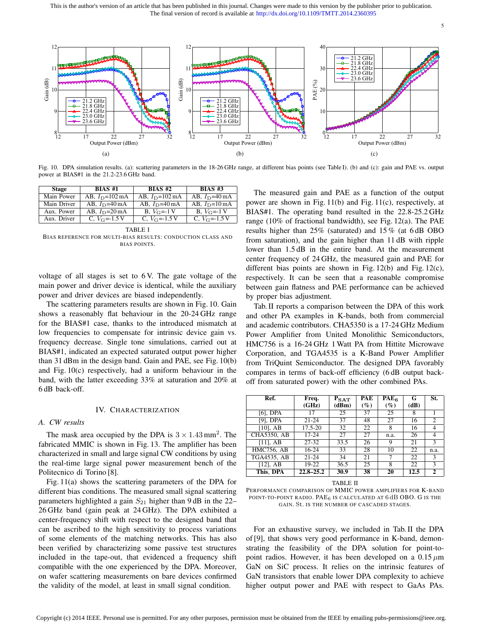This is the author's version of an article that has been published in this journal. Changes were made to this version by the publisher prior to publication. The final version of record is available at http://dx.doi.org/10.1109/TMTT.2014.2360395



Fig. 10. DPA simulation results. (a): scattering parameters in the 18-26 GHz range, at different bias points (see Table I). (b) and (c): gain and PAE vs. output power at BIAS#1 in the 21.2-23.6 GHz band.

| Stage       | <b>BIAS #1</b>             | $BIAS$ #2                                | <b>BIAS #3</b>           |
|-------------|----------------------------|------------------------------------------|--------------------------|
| Main Power  | AB, $I_D = 102 \text{ mA}$ | AB, $I_D = 102 \text{ mA}$               | AB, $I_D$ =40 mA         |
| Main Driver | AB, $I_D$ =40 mA           | AB, $I_D$ =40 mA                         | AB, $I_D=10 \text{ mA}$  |
| Aux. Power  | AB, $I_D=20 \text{ mA}$    | <b>B</b> , $V_{\text{G}} = -1 \text{ V}$ | <b>B</b> , $V_{C}$ =-1 V |
| Aux. Driver | C, $V_{\rm G}$ = -1.5 V    | C, $V_{\rm G}$ = -1.5 V                  | C, $V_{\rm G}$ = -1.5 V  |

#### TABLE I

BIAS REFERENCE FOR MULTI-BIAS RESULTS: CONDUCTION CLASS AND BIAS POINTS.

voltage of all stages is set to 6 V. The gate voltage of the main power and driver device is identical, while the auxiliary power and driver devices are biased independently.

The scattering parameters results are shown in Fig. 10. Gain shows a reasonably flat behaviour in the 20-24 GHz range for the BIAS#1 case, thanks to the introduced mismatch at low frequencies to compensate for intrinsic device gain vs. frequency decrease. Single tone simulations, carried out at BIAS#1, indicated an expected saturated output power higher than 31 dBm in the design band. Gain and PAE, see Fig. 10(b) and Fig. 10(c) respectively, had a uniform behaviour in the band, with the latter exceeding 33% at saturation and 20% at 6 dB back-off.

# IV. CHARACTERIZATION

# *A. CW results*

The mask area occupied by the DPA is  $3 \times 1.43$  mm<sup>2</sup>. The fabricated MMIC is shown in Fig. 13. The amplifier has been characterized in small and large signal CW conditions by using the real-time large signal power measurement bench of the Politecnico di Torino [8].

Fig. 11(a) shows the scattering parameters of the DPA for different bias conditions. The measured small signal scattering parameters highlighted a gain *S*<sup>21</sup> higher than 9 dB in the 22– 26 GHz band (gain peak at 24 GHz). The DPA exhibited a center-frequency shift with respect to the designed band that can be ascribed to the high sensitivity to process variations of some elements of the matching networks. This has also been verified by characterizing some passive test structures included in the tape-out, that evidenced a frequency shift compatible with the one experienced by the DPA. Moreover, on wafer scattering measurements on bare devices confirmed the validity of the model, at least in small signal condition.

The measured gain and PAE as a function of the output power are shown in Fig. 11(b) and Fig. 11(c), respectively, at BIAS#1. The operating band resulted in the 22.8-25.2 GHz range (10% of fractional bandwidth), see Fig. 12(a). The PAE results higher than 25% (saturated) and 15 % (at 6 dB OBO from saturation), and the gain higher than 11 dB with ripple lower than  $1.5$  dB in the entire band. At the measurement center frequency of 24 GHz, the measured gain and PAE for different bias points are shown in Fig. 12(b) and Fig. 12(c), respectively. It can be seen that a reasonable compromise between gain flatness and PAE performance can be achieved by proper bias adjustment.

Tab. II reports a comparison between the DPA of this work and other PA examples in K-bands, both from commercial and academic contributors. CHA5350 is a 17-24 GHz Medium Power Amplifier from United Monolithic Semiconductors, HMC756 is a 16-24 GHz 1 Watt PA from Hittite Microwave Corporation, and TGA4535 is a K-Band Power Amplifier from TriQuint Semiconductor. The designed DPA favorably compares in terms of back-off efficiency (6 dB output backoff from saturated power) with the other combined PAs.

| Ref.               | Freq.         | $P_{\text{SAT}}$ | PAE    | PAE <sub>6</sub> | G    | St.            |
|--------------------|---------------|------------------|--------|------------------|------|----------------|
|                    | (GHz)         | (dBm)            | $(\%)$ | $(\%)$           | (dB) |                |
| $[6]$ , DPA        | 17            | 25               | 37     | 25               | 8    |                |
| $[9]$ , DPA        | $21 - 24$     | 37               | 48     | 27               | 16   | $\mathfrak{D}$ |
| $[10]$ , AB        | 17.5-20       | 32               | 22     | 8                | 16   |                |
| <b>CHA5350, AB</b> | $17 - 24$     | 27               | 27     | n.a.             | 26   | 4              |
| $[11]$ , AB        | $27 - 32$     | 33.5             | 26     | 9                | 21   | 3              |
| <b>HMC756, AB</b>  | $16-24$       | 33               | 28     | 10               | 22   | n.a.           |
| TGA4535, AB        | $21 - 24$     | 34               | 21     | 7                | 22   | 3              |
| $[12]$ , AB        | 19-22         | 36.5             | 25     | 8                | 22   | 3              |
| This, DPA          | $22.8 - 25.2$ | 30.9             | 38     | 20               | 12.5 | $\mathbf{2}$   |

TABLE II

PERFORMANCE COMPARISON OF MMIC POWER AMPLIFIERS FOR K-BAND POINT-TO-POINT RADIO. PAE<sub>6</sub> IS CALCULATED AT 6 dB OBO. G IS THE GAIN. St. IS THE NUMBER OF CASCADED STAGES.

For an exhaustive survey, we included in Tab. II the DPA of [9], that shows very good performance in K-band, demonstrating the feasibility of the DPA solution for point-topoint radios. However, it has been developed on a 0.15 *µ*m GaN on SiC process. It relies on the intrinsic features of GaN transistors that enable lower DPA complexity to achieve higher output power and PAE with respect to GaAs PAs.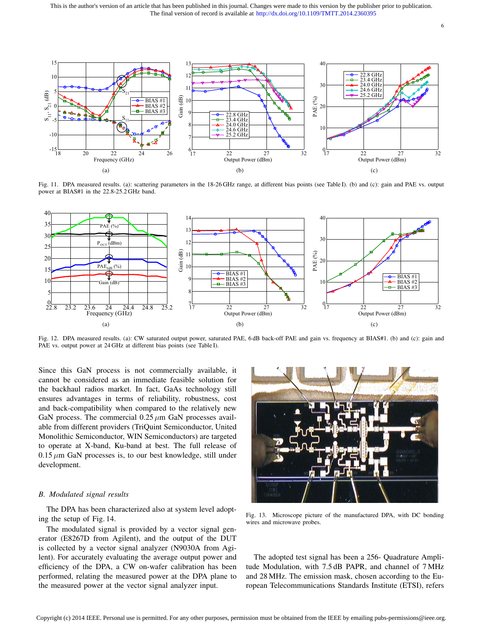This is the author's version of an article that has been published in this journal. Changes were made to this version by the publisher prior to publication. The final version of record is available at http://dx.doi.org/10.1109/TMTT.2014.2360395



Fig. 11. DPA measured results. (a): scattering parameters in the 18-26 GHz range, at different bias points (see Table I). (b) and (c): gain and PAE vs. output power at BIAS#1 in the 22.8-25.2 GHz band.



Fig. 12. DPA measured results. (a): CW saturated output power, saturated PAE, 6 dB back-off PAE and gain vs. frequency at BIAS#1. (b) and (c): gain and PAE vs. output power at 24 GHz at different bias points (see Table I).

Since this GaN process is not commercially available, it cannot be considered as an immediate feasible solution for the backhaul radios market. In fact, GaAs technology still ensures advantages in terms of reliability, robustness, cost and back-compatibility when compared to the relatively new GaN process. The commercial 0.25 *µ*m GaN processes available from different providers (TriQuint Semiconductor, United Monolithic Semiconductor, WIN Semiconductors) are targeted to operate at X-band, Ku-band at best. The full release of  $0.15 \mu m$  GaN processes is, to our best knowledge, still under development.

# *B. Modulated signal results*

The DPA has been characterized also at system level adopting the setup of Fig. 14.

The modulated signal is provided by a vector signal generator (E8267D from Agilent), and the output of the DUT is collected by a vector signal analyzer (N9030A from Agilent). For accurately evaluating the average output power and efficiency of the DPA, a CW on-wafer calibration has been performed, relating the measured power at the DPA plane to the measured power at the vector signal analyzer input.



Fig. 13. Microscope picture of the manufactured DPA, with DC bonding wires and microwave probes.

The adopted test signal has been a 256- Quadrature Amplitude Modulation, with 7.5 dB PAPR, and channel of 7 MHz and 28 MHz. The emission mask, chosen according to the European Telecommunications Standards Institute (ETSI), refers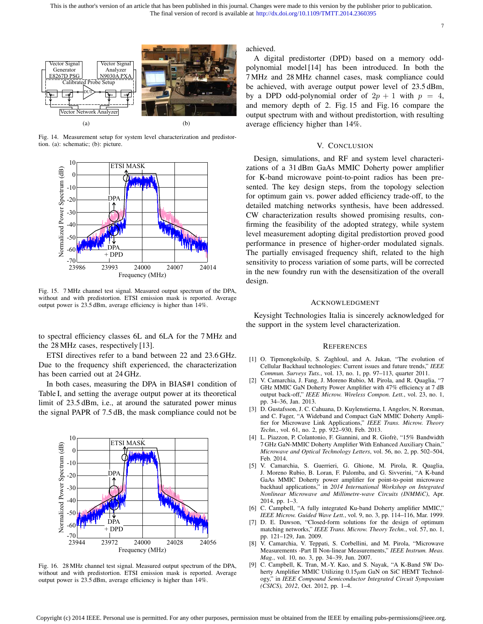7



Fig. 14. Measurement setup for system level characterization and predistortion. (a): schematic; (b): picture.



Fig. 15. 7 MHz channel test signal. Measured output spectrum of the DPA, without and with predistortion. ETSI emission mask is reported. Average output power is 23.5 dBm, average efficiency is higher than 14%.

to spectral efficiency classes 6L and 6LA for the 7 MHz and the 28 MHz cases, respectively [13].

ETSI directives refer to a band between 22 and 23.6 GHz. Due to the frequency shift experienced, the characterization has been carried out at 24 GHz.

In both cases, measuring the DPA in BIAS#1 condition of Table I, and setting the average output power at its theoretical limit of 23.5 dBm, i.e., at around the saturated power minus the signal PAPR of 7.5 dB, the mask compliance could not be



Fig. 16. 28 MHz channel test signal. Measured output spectrum of the DPA, without and with predistortion. ETSI emission mask is reported. Average output power is 23.5 dBm, average efficiency is higher than 14%.

achieved.

A digital predistorter (DPD) based on a memory oddpolynomial model [14] has been introduced. In both the 7 MHz and 28 MHz channel cases, mask compliance could be achieved, with average output power level of 23.5 dBm, by a DPD odd-polynomial order of  $2p + 1$  with  $p = 4$ , and memory depth of 2. Fig. 15 and Fig. 16 compare the output spectrum with and without predistortion, with resulting average efficiency higher than 14%.

# V. CONCLUSION

Design, simulations, and RF and system level characterizations of a 31 dBm GaAs MMIC Doherty power amplifier for K-band microwave point-to-point radios has been presented. The key design steps, from the topology selection for optimum gain vs. power added efficiency trade-off, to the detailed matching networks synthesis, have been addressed. CW characterization results showed promising results, confirming the feasibility of the adopted strategy, while system level measurement adopting digital predistortion proved good performance in presence of higher-order modulated signals. The partially envisaged frequency shift, related to the high sensitivity to process variation of some parts, will be corrected in the new foundry run with the desensitization of the overall design.

# ACKNOWLEDGMENT

Keysight Technologies Italia is sincerely acknowledged for the support in the system level characterization.

# **REFERENCES**

- [1] O. Tipmongkolsilp, S. Zaghloul, and A. Jukan, "The evolution of Cellular Backhaul technologies: Current issues and future trends," *IEEE Commun. Surveys Tuts.*, vol. 13, no. 1, pp. 97–113, quarter 2011.
- [2] V. Camarchia, J. Fang, J. Moreno Rubio, M. Pirola, and R. Quaglia, "7 GHz MMIC GaN Doherty Power Amplifier with 47% efficiency at 7 dB output back-off," *IEEE Microw. Wireless Compon. Lett.*, vol. 23, no. 1, pp. 34–36, Jan. 2013.
- [3] D. Gustafsson, J. C. Cahuana, D. Kuylenstierna, I. Angelov, N. Rorsman, and C. Fager, "A Wideband and Compact GaN MMIC Doherty Amplifier for Microwave Link Applications," *IEEE Trans. Microw. Theory Techn.*, vol. 61, no. 2, pp. 922–930, Feb. 2013.
- [4] L. Piazzon, P. Colantonio, F. Giannini, and R. Giofrè, "15% Bandwidth 7 GHz GaN-MMIC Doherty Amplifier With Enhanced Auxiliary Chain," *Microwave and Optical Technology Letters*, vol. 56, no. 2, pp. 502–504, Feb. 2014.
- [5] V. Camarchia, S. Guerrieri, G. Ghione, M. Pirola, R. Quaglia, J. Moreno Rubio, B. Loran, F. Palomba, and G. Sivverini, "A K-band GaAs MMIC Doherty power amplifier for point-to-point microwave backhaul applications," in *2014 International Workshop on Integrated Nonlinear Microwave and Millimetre-wave Circuits (INMMiC)*, Apr. 2014, pp. 1–3.
- [6] C. Campbell, "A fully integrated Ku-band Doherty amplifier MMIC," *IEEE Microw. Guided Wave Lett.*, vol. 9, no. 3, pp. 114–116, Mar. 1999.
- [7] D. E. Dawson, "Closed-form solutions for the design of optimum matching networks," *IEEE Trans. Microw. Theory Techn.*, vol. 57, no. 1, pp. 121–129, Jan. 2009.
- [8] V. Camarchia, V. Teppati, S. Corbellini, and M. Pirola, "Microwave Measurements -Part II Non-linear Measurements," *IEEE Instrum. Meas. Mag.*, vol. 10, no. 3, pp. 34–39, Jun. 2007.
- [9] C. Campbell, K. Tran, M.-Y. Kao, and S. Nayak, "A K-Band 5W Doherty Amplifier MMIC Utilizing 0.15 $\mu$ m GaN on SiC HEMT Technology," in *IEEE Compound Semiconductor Integrated Circuit Symposium (CSICS), 2012*, Oct. 2012, pp. 1–4.